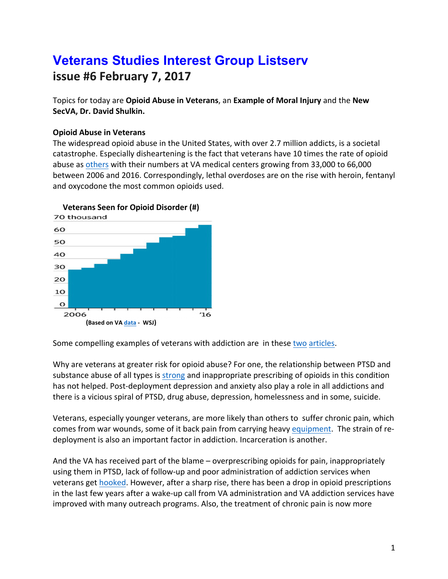# **Veterans Studies Interest Group Listserv issue #6 February 7, 2017**

Topics for today are Opioid Abuse in Veterans, an Example of Moral Injury and the New **SecVA, Dr. David Shulkin.**

## **Opioid Abuse in Veterans**

The widespread opioid abuse in the United States, with over 2.7 million addicts, is a societal catastrophe. Especially disheartening is the fact that veterans have 10 times the rate of opioid abuse as [others](https://www.wsj.com/articles/the-va-hooked-veterans-on-opioids-then-failed-them-again-1483030270) with their numbers at VA medical centers growing from 33,000 to 66,000 between 2006 and 2016. Correspondingly, lethal overdoses are on the rise with heroin, fentanyl and oxycodone the most common opioids used.



**Veterans Seen for Opioid Disorder (#)** 

Some compelling examples of veterans with addiction are in these two [articles](http://www.npr.org/sections/health-shots/2014/07/10/329904066/veterans-face-another-battle-fighting-prescription-drug-addiction).

Why are veterans at greater risk for opioid abuse? For one, the relationship between PTSD and substance abuse of all types is strong and inappropriate prescribing of opioids in this condition has not helped. Post-deployment depression and anxiety also play a role in all addictions and there is a vicious spiral of PTSD, drug abuse, depression, homelessness and in some, suicide.

Veterans, especially younger veterans, are more likely than others to suffer chronic pain, which comes from war wounds, some of it back pain from carrying heavy equipment. The strain of redeployment is also an important factor in addiction. Incarceration is another.

And the VA has received part of the blame – overprescribing opioids for pain, inappropriately using them in PTSD, lack of follow-up and poor administration of addiction services when veterans get hooked. However, after a sharp rise, there has been a drop in opioid prescriptions in the last few years after a wake-up call from VA administration and VA addiction services have improved with many outreach programs. Also, the treatment of chronic pain is now more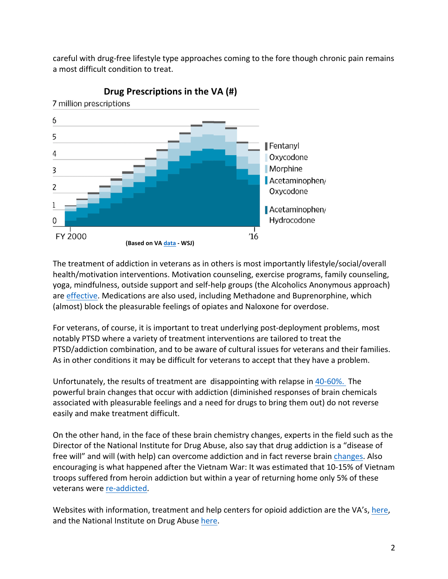careful with drug-free lifestyle type approaches coming to the fore though chronic pain remains a most difficult condition to treat.



**Drug Prescriptions in the VA (#)** 

The treatment of addiction in veterans as in others is most importantly lifestyle/social/overall health/motivation interventions. Motivation counseling, exercise programs, family counseling, yoga, mindfulness, outside support and self-help groups (the Alcoholics Anonymous approach) are [effective](http://www.mentalhealth.va.gov/MENTALHEALTH/res-vatreatmentprograms.asp). Medications are also used, including Methadone and Buprenorphine, which (almost) block the pleasurable feelings of opiates and Naloxone for overdose.

For veterans, of course, it is important to treat underlying post-deployment problems, most notably PTSD where a variety of treatment interventions are tailored to treat the PTSD/addiction combination, and to be aware of cultural issues for veterans and their families. As in other conditions it may be difficult for veterans to accept that they have a problem.

Unfortunately, the results of treatment are disappointing with relapse in  $40-60%$ . The powerful brain changes that occur with addiction (diminished responses of brain chemicals associated with pleasurable feelings and a need for drugs to bring them out) do not reverse easily and make treatment difficult.

On the other hand, in the face of these brain chemistry changes, experts in the field such as the Director of the National Institute for Drug Abuse, also say that drug addiction is a "disease of free will" and will (with help) can overcome addiction and in fact reverse brain changes. Also encouraging is what happened after the Vietnam War: It was estimated that 10-15% of Vietnam troops suffered from heroin addiction but within a year of returning home only 5% of these veterans were re-addicted.

Websites with information, treatment and help centers for opioid addiction are the VA's, here, and the National Institute on Drug Abuse here.